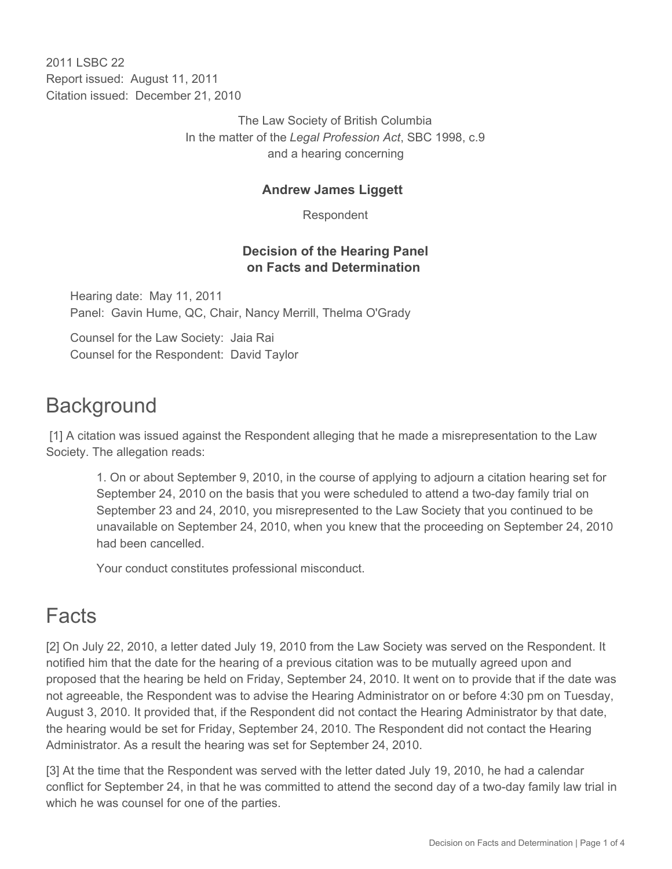2011 I SBC 22 Report issued: August 11, 2011 Citation issued: December 21, 2010

> The Law Society of British Columbia In the matter of the *Legal Profession Act*, SBC 1998, c.9 and a hearing concerning

#### **Andrew James Liggett**

Respondent

### **Decision of the Hearing Panel on Facts and Determination**

Hearing date: May 11, 2011 Panel: Gavin Hume, QC, Chair, Nancy Merrill, Thelma O'Grady

Counsel for the Law Society: Jaia Rai Counsel for the Respondent: David Taylor

# **Background**

 [1] A citation was issued against the Respondent alleging that he made a misrepresentation to the Law Society. The allegation reads:

1. On or about September 9, 2010, in the course of applying to adjourn a citation hearing set for September 24, 2010 on the basis that you were scheduled to attend a two-day family trial on September 23 and 24, 2010, you misrepresented to the Law Society that you continued to be unavailable on September 24, 2010, when you knew that the proceeding on September 24, 2010 had been cancelled.

Your conduct constitutes professional misconduct.

# Facts

[2] On July 22, 2010, a letter dated July 19, 2010 from the Law Society was served on the Respondent. It notified him that the date for the hearing of a previous citation was to be mutually agreed upon and proposed that the hearing be held on Friday, September 24, 2010. It went on to provide that if the date was not agreeable, the Respondent was to advise the Hearing Administrator on or before 4:30 pm on Tuesday, August 3, 2010. It provided that, if the Respondent did not contact the Hearing Administrator by that date, the hearing would be set for Friday, September 24, 2010. The Respondent did not contact the Hearing Administrator. As a result the hearing was set for September 24, 2010.

[3] At the time that the Respondent was served with the letter dated July 19, 2010, he had a calendar conflict for September 24, in that he was committed to attend the second day of a two-day family law trial in which he was counsel for one of the parties.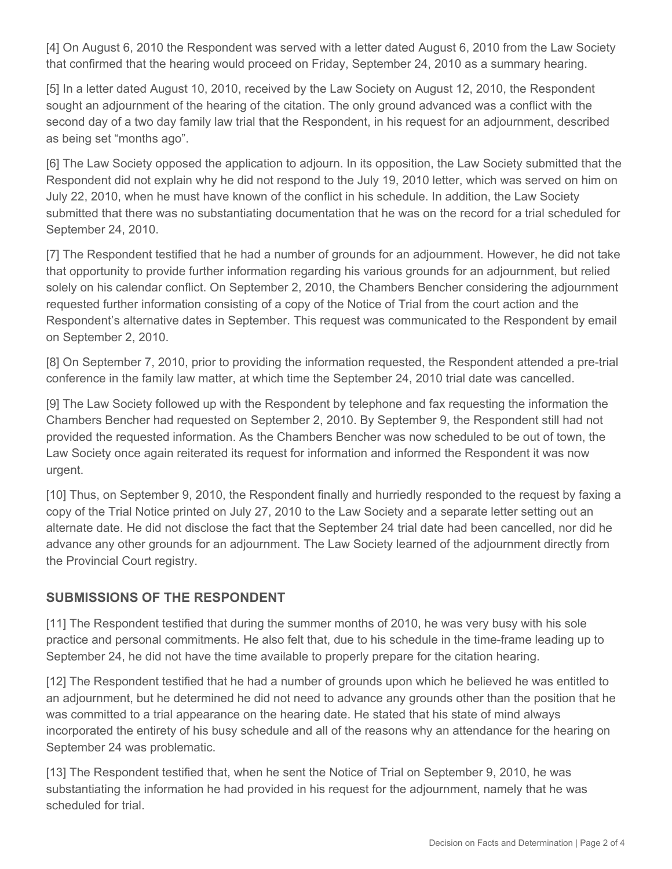[4] On August 6, 2010 the Respondent was served with a letter dated August 6, 2010 from the Law Society that confirmed that the hearing would proceed on Friday, September 24, 2010 as a summary hearing.

[5] In a letter dated August 10, 2010, received by the Law Society on August 12, 2010, the Respondent sought an adjournment of the hearing of the citation. The only ground advanced was a conflict with the second day of a two day family law trial that the Respondent, in his request for an adjournment, described as being set "months ago".

[6] The Law Society opposed the application to adjourn. In its opposition, the Law Society submitted that the Respondent did not explain why he did not respond to the July 19, 2010 letter, which was served on him on July 22, 2010, when he must have known of the conflict in his schedule. In addition, the Law Society submitted that there was no substantiating documentation that he was on the record for a trial scheduled for September 24, 2010.

[7] The Respondent testified that he had a number of grounds for an adjournment. However, he did not take that opportunity to provide further information regarding his various grounds for an adjournment, but relied solely on his calendar conflict. On September 2, 2010, the Chambers Bencher considering the adjournment requested further information consisting of a copy of the Notice of Trial from the court action and the Respondent's alternative dates in September. This request was communicated to the Respondent by email on September 2, 2010.

[8] On September 7, 2010, prior to providing the information requested, the Respondent attended a pre-trial conference in the family law matter, at which time the September 24, 2010 trial date was cancelled.

[9] The Law Society followed up with the Respondent by telephone and fax requesting the information the Chambers Bencher had requested on September 2, 2010. By September 9, the Respondent still had not provided the requested information. As the Chambers Bencher was now scheduled to be out of town, the Law Society once again reiterated its request for information and informed the Respondent it was now urgent.

[10] Thus, on September 9, 2010, the Respondent finally and hurriedly responded to the request by faxing a copy of the Trial Notice printed on July 27, 2010 to the Law Society and a separate letter setting out an alternate date. He did not disclose the fact that the September 24 trial date had been cancelled, nor did he advance any other grounds for an adjournment. The Law Society learned of the adjournment directly from the Provincial Court registry.

### **SUBMISSIONS OF THE RESPONDENT**

[11] The Respondent testified that during the summer months of 2010, he was very busy with his sole practice and personal commitments. He also felt that, due to his schedule in the time-frame leading up to September 24, he did not have the time available to properly prepare for the citation hearing.

[12] The Respondent testified that he had a number of grounds upon which he believed he was entitled to an adjournment, but he determined he did not need to advance any grounds other than the position that he was committed to a trial appearance on the hearing date. He stated that his state of mind always incorporated the entirety of his busy schedule and all of the reasons why an attendance for the hearing on September 24 was problematic.

[13] The Respondent testified that, when he sent the Notice of Trial on September 9, 2010, he was substantiating the information he had provided in his request for the adjournment, namely that he was scheduled for trial.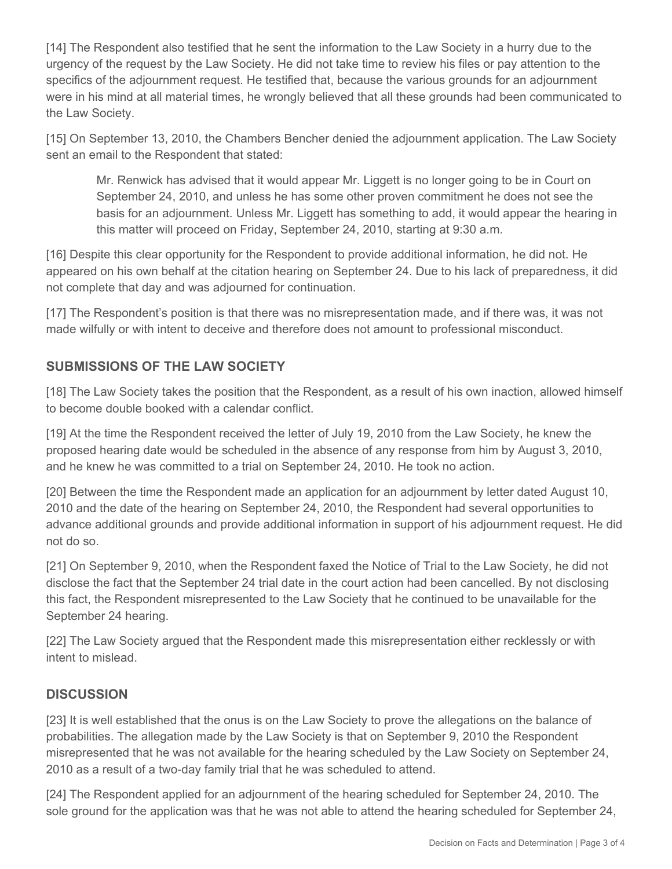[14] The Respondent also testified that he sent the information to the Law Society in a hurry due to the urgency of the request by the Law Society. He did not take time to review his files or pay attention to the specifics of the adjournment request. He testified that, because the various grounds for an adjournment were in his mind at all material times, he wrongly believed that all these grounds had been communicated to the Law Society.

[15] On September 13, 2010, the Chambers Bencher denied the adjournment application. The Law Society sent an email to the Respondent that stated:

Mr. Renwick has advised that it would appear Mr. Liggett is no longer going to be in Court on September 24, 2010, and unless he has some other proven commitment he does not see the basis for an adjournment. Unless Mr. Liggett has something to add, it would appear the hearing in this matter will proceed on Friday, September 24, 2010, starting at 9:30 a.m.

[16] Despite this clear opportunity for the Respondent to provide additional information, he did not. He appeared on his own behalf at the citation hearing on September 24. Due to his lack of preparedness, it did not complete that day and was adjourned for continuation.

[17] The Respondent's position is that there was no misrepresentation made, and if there was, it was not made wilfully or with intent to deceive and therefore does not amount to professional misconduct.

### **SUBMISSIONS OF THE LAW SOCIETY**

[18] The Law Society takes the position that the Respondent, as a result of his own inaction, allowed himself to become double booked with a calendar conflict.

[19] At the time the Respondent received the letter of July 19, 2010 from the Law Society, he knew the proposed hearing date would be scheduled in the absence of any response from him by August 3, 2010, and he knew he was committed to a trial on September 24, 2010. He took no action.

[20] Between the time the Respondent made an application for an adjournment by letter dated August 10, 2010 and the date of the hearing on September 24, 2010, the Respondent had several opportunities to advance additional grounds and provide additional information in support of his adjournment request. He did not do so.

[21] On September 9, 2010, when the Respondent faxed the Notice of Trial to the Law Society, he did not disclose the fact that the September 24 trial date in the court action had been cancelled. By not disclosing this fact, the Respondent misrepresented to the Law Society that he continued to be unavailable for the September 24 hearing.

[22] The Law Society argued that the Respondent made this misrepresentation either recklessly or with intent to mislead.

### **DISCUSSION**

[23] It is well established that the onus is on the Law Society to prove the allegations on the balance of probabilities. The allegation made by the Law Society is that on September 9, 2010 the Respondent misrepresented that he was not available for the hearing scheduled by the Law Society on September 24, 2010 as a result of a two-day family trial that he was scheduled to attend.

[24] The Respondent applied for an adjournment of the hearing scheduled for September 24, 2010. The sole ground for the application was that he was not able to attend the hearing scheduled for September 24,